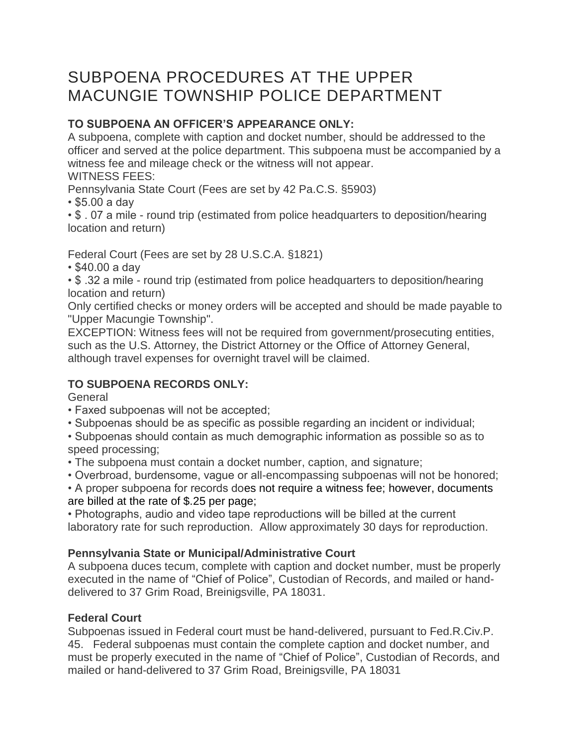# SUBPOENA PROCEDURES AT THE UPPER MACUNGIE TOWNSHIP POLICE DEPARTMENT

# **TO SUBPOENA AN OFFICER'S APPEARANCE ONLY:**

A subpoena, complete with caption and docket number, should be addressed to the officer and served at the police department. This subpoena must be accompanied by a witness fee and mileage check or the witness will not appear. WITNESS FEES:

Pennsylvania State Court (Fees are set by 42 Pa.C.S. §5903)

• \$5.00 a day

• \$ . 07 a mile - round trip (estimated from police headquarters to deposition/hearing location and return)

Federal Court (Fees are set by 28 U.S.C.A. §1821)

• \$40.00 a day

• \$ .32 a mile - round trip (estimated from police headquarters to deposition/hearing location and return)

Only certified checks or money orders will be accepted and should be made payable to "Upper Macungie Township".

EXCEPTION: Witness fees will not be required from government/prosecuting entities, such as the U.S. Attorney, the District Attorney or the Office of Attorney General, although travel expenses for overnight travel will be claimed.

# **TO SUBPOENA RECORDS ONLY:**

**General** 

- Faxed subpoenas will not be accepted;
- Subpoenas should be as specific as possible regarding an incident or individual;
- Subpoenas should contain as much demographic information as possible so as to speed processing;
- The subpoena must contain a docket number, caption, and signature;
- Overbroad, burdensome, vague or all-encompassing subpoenas will not be honored;

• A proper subpoena for records does not require a witness fee; however, documents are billed at the rate of \$.25 per page;

• Photographs, audio and video tape reproductions will be billed at the current laboratory rate for such reproduction. Allow approximately 30 days for reproduction.

## **Pennsylvania State or Municipal/Administrative Court**

A subpoena duces tecum, complete with caption and docket number, must be properly executed in the name of "Chief of Police", Custodian of Records, and mailed or handdelivered to 37 Grim Road, Breinigsville, PA 18031.

## **Federal Court**

Subpoenas issued in Federal court must be hand-delivered, pursuant to Fed.R.Civ.P. 45. Federal subpoenas must contain the complete caption and docket number, and must be properly executed in the name of "Chief of Police", Custodian of Records, and mailed or hand-delivered to 37 Grim Road, Breinigsville, PA 18031